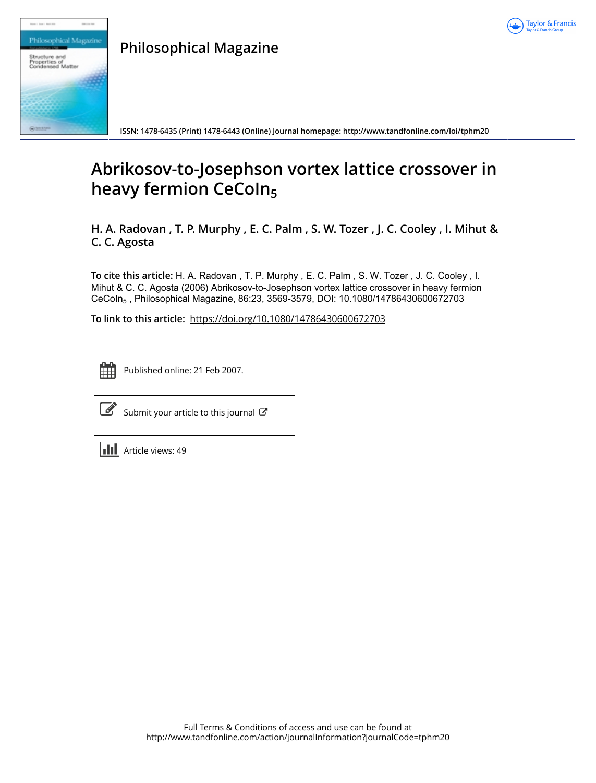



**Philosophical Magazine**

**ISSN: 1478-6435 (Print) 1478-6443 (Online) Journal homepage:<http://www.tandfonline.com/loi/tphm20>**

# **Abrikosov-to-Josephson vortex lattice crossover in heavy fermion CeCoIn<sup>5</sup>**

**H. A. Radovan , T. P. Murphy , E. C. Palm , S. W. Tozer , J. C. Cooley , I. Mihut & C. C. Agosta**

**To cite this article:** H. A. Radovan , T. P. Murphy , E. C. Palm , S. W. Tozer , J. C. Cooley , I. Mihut & C. C. Agosta (2006) Abrikosov-to-Josephson vortex lattice crossover in heavy fermion CeCoIn5 , Philosophical Magazine, 86:23, 3569-3579, DOI: [10.1080/14786430600672703](http://www.tandfonline.com/action/showCitFormats?doi=10.1080/14786430600672703)

**To link to this article:** <https://doi.org/10.1080/14786430600672703>



Published online: 21 Feb 2007.



 $\overline{\mathscr{L}}$  [Submit your article to this journal](http://www.tandfonline.com/action/authorSubmission?journalCode=tphm20&show=instructions)  $\mathbb{F}$ 

 $\left\| \cdot \right\|$  Article views: 49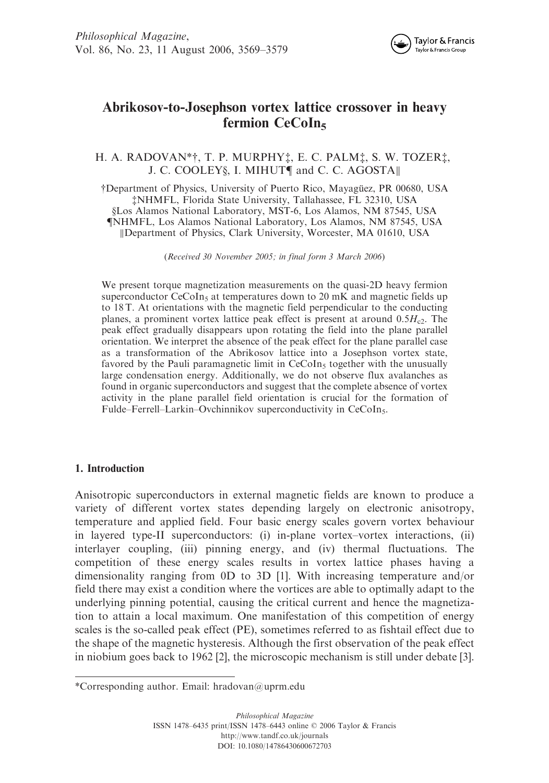

# Abrikosov-to-Josephson vortex lattice crossover in heavy fermion CeCoIn<sub>5</sub>

## H. A. RADOVAN\* $\dagger$ , T. P. MURPHY $\dagger$ , E. C. PALM $\dagger$ , S. W. TOZER $\dagger$ , J. C. COOLEY§, I. MIHUT¶ and C. C. AGOSTA||

<sup>†</sup>Department of Physics, University of Puerto Rico, Mayagüez, PR 00680, USA zNHMFL, Florida State University, Tallahassee, FL 32310, USA xLos Alamos National Laboratory, MST-6, Los Alamos, NM 87545, USA {NHMFL, Los Alamos National Laboratory, Los Alamos, NM 87545, USA kDepartment of Physics, Clark University, Worcester, MA 01610, USA

(Received 30 November 2005; in final form 3 March 2006)

We present torque magnetization measurements on the quasi-2D heavy fermion superconductor CeCoIn<sub>5</sub> at temperatures down to 20 mK and magnetic fields up to 18 T. At orientations with the magnetic field perpendicular to the conducting planes, a prominent vortex lattice peak effect is present at around  $0.5H<sub>c2</sub>$ . The peak effect gradually disappears upon rotating the field into the plane parallel orientation. We interpret the absence of the peak effect for the plane parallel case as a transformation of the Abrikosov lattice into a Josephson vortex state, favored by the Pauli paramagnetic limit in  $CeCoIn<sub>5</sub>$  together with the unusually large condensation energy. Additionally, we do not observe flux avalanches as found in organic superconductors and suggest that the complete absence of vortex activity in the plane parallel field orientation is crucial for the formation of Fulde–Ferrell–Larkin–Ovchinnikov superconductivity in CeCoIn<sub>5</sub>.

### 1. Introduction

Anisotropic superconductors in external magnetic fields are known to produce a variety of different vortex states depending largely on electronic anisotropy, temperature and applied field. Four basic energy scales govern vortex behaviour in layered type-II superconductors: (i) in-plane vortex–vortex interactions, (ii) interlayer coupling, (iii) pinning energy, and (iv) thermal fluctuations. The competition of these energy scales results in vortex lattice phases having a dimensionality ranging from 0D to 3D [1]. With increasing temperature and/or field there may exist a condition where the vortices are able to optimally adapt to the underlying pinning potential, causing the critical current and hence the magnetization to attain a local maximum. One manifestation of this competition of energy scales is the so-called peak effect (PE), sometimes referred to as fishtail effect due to the shape of the magnetic hysteresis. Although the first observation of the peak effect in niobium goes back to 1962 [2], the microscopic mechanism is still under debate [3].

<sup>\*</sup>Corresponding author. Email: hradovan@uprm.edu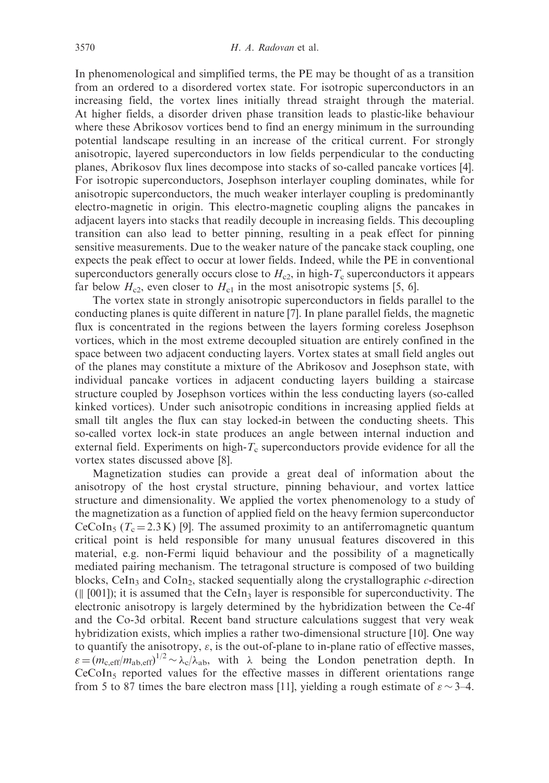In phenomenological and simplified terms, the PE may be thought of as a transition from an ordered to a disordered vortex state. For isotropic superconductors in an increasing field, the vortex lines initially thread straight through the material. At higher fields, a disorder driven phase transition leads to plastic-like behaviour where these Abrikosov vortices bend to find an energy minimum in the surrounding potential landscape resulting in an increase of the critical current. For strongly anisotropic, layered superconductors in low fields perpendicular to the conducting planes, Abrikosov flux lines decompose into stacks of so-called pancake vortices [4]. For isotropic superconductors, Josephson interlayer coupling dominates, while for anisotropic superconductors, the much weaker interlayer coupling is predominantly electro-magnetic in origin. This electro-magnetic coupling aligns the pancakes in adjacent layers into stacks that readily decouple in increasing fields. This decoupling transition can also lead to better pinning, resulting in a peak effect for pinning sensitive measurements. Due to the weaker nature of the pancake stack coupling, one expects the peak effect to occur at lower fields. Indeed, while the PE in conventional superconductors generally occurs close to  $H_{c2}$ , in high- $T_c$  superconductors it appears far below  $H_{c2}$ , even closer to  $H_{c1}$  in the most anisotropic systems [5, 6].

The vortex state in strongly anisotropic superconductors in fields parallel to the conducting planes is quite different in nature [7]. In plane parallel fields, the magnetic flux is concentrated in the regions between the layers forming coreless Josephson vortices, which in the most extreme decoupled situation are entirely confined in the space between two adjacent conducting layers. Vortex states at small field angles out of the planes may constitute a mixture of the Abrikosov and Josephson state, with individual pancake vortices in adjacent conducting layers building a staircase structure coupled by Josephson vortices within the less conducting layers (so-called kinked vortices). Under such anisotropic conditions in increasing applied fields at small tilt angles the flux can stay locked-in between the conducting sheets. This so-called vortex lock-in state produces an angle between internal induction and external field. Experiments on high- $T_c$  superconductors provide evidence for all the vortex states discussed above [8].

Magnetization studies can provide a great deal of information about the anisotropy of the host crystal structure, pinning behaviour, and vortex lattice structure and dimensionality. We applied the vortex phenomenology to a study of the magnetization as a function of applied field on the heavy fermion superconductor CeCoIn<sub>5</sub> ( $T_c$  = 2.3 K) [9]. The assumed proximity to an antiferromagnetic quantum critical point is held responsible for many unusual features discovered in this material, e.g. non-Fermi liquid behaviour and the possibility of a magnetically mediated pairing mechanism. The tetragonal structure is composed of two building blocks, CeIn<sub>3</sub> and CoIn<sub>2</sub>, stacked sequentially along the crystallographic c-direction ( $\parallel$  [001]); it is assumed that the CeIn<sub>3</sub> layer is responsible for superconductivity. The electronic anisotropy is largely determined by the hybridization between the Ce-4f and the Co-3d orbital. Recent band structure calculations suggest that very weak hybridization exists, which implies a rather two-dimensional structure [10]. One way to quantify the anisotropy,  $\varepsilon$ , is the out-of-plane to in-plane ratio of effective masses,  $\varepsilon = (m_{c,eff}/m_{ab,eff})^{1/2} \sim \lambda_c/\lambda_{ab}$ , with  $\lambda$  being the London penetration depth. In CeCoIn<sub>5</sub> reported values for the effective masses in different orientations range from 5 to 87 times the bare electron mass [11], yielding a rough estimate of  $\varepsilon \sim 3-4$ .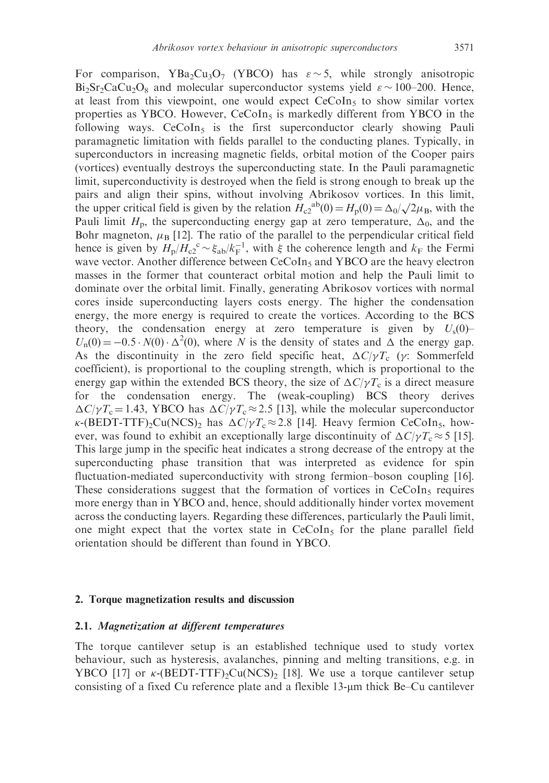For comparison, YBa<sub>2</sub>Cu<sub>3</sub>O<sub>7</sub> (YBCO) has  $\varepsilon \sim 5$ , while strongly anisotropic  $Bi_2Sr_2CaCu_2O_8$  and molecular superconductor systems yield  $\varepsilon \sim 100-200$ . Hence, at least from this viewpoint, one would expect  $CeCoIn<sub>5</sub>$  to show similar vortex properties as YBCO. However,  $CeCoIn<sub>5</sub>$  is markedly different from YBCO in the following ways.  $CeCoIn<sub>5</sub>$  is the first superconductor clearly showing Pauli paramagnetic limitation with fields parallel to the conducting planes. Typically, in superconductors in increasing magnetic fields, orbital motion of the Cooper pairs (vortices) eventually destroys the superconducting state. In the Pauli paramagnetic limit, superconductivity is destroyed when the field is strong enough to break up the pairs and align their spins, without involving Abrikosov vortices. In this limit, pans and angle then spins, whilout involving ADIROSOV voltices. In this limit,<br>the upper critical field is given by the relation  $H_{c2}^{ab}(0) = H_p(0) = \Delta_0/\sqrt{2\mu_B}$ , with the Pauli limit  $H_p$ , the superconducting energy gap at zero temperature,  $\Delta_0$ , and the Bohr magneton,  $\mu_B$  [12]. The ratio of the parallel to the perpendicular critical field hence is given by  $H_{\rm p}/H_{\rm c2}^{\circ} \sim \xi_{\rm ab}/k_{\rm F}^{-1}$ , with  $\xi$  the coherence length and  $k_{\rm F}$  the Fermi wave vector. Another difference between  $CeCoIn<sub>5</sub>$  and YBCO are the heavy electron masses in the former that counteract orbital motion and help the Pauli limit to dominate over the orbital limit. Finally, generating Abrikosov vortices with normal cores inside superconducting layers costs energy. The higher the condensation energy, the more energy is required to create the vortices. According to the BCS theory, the condensation energy at zero temperature is given by  $U_s(0)$ –  $U_n(0) = -0.5 \cdot N(0) \cdot \Delta^2(0)$ , where N is the density of states and  $\Delta$  the energy gap. As the discontinuity in the zero field specific heat,  $\Delta C/\gamma T_c$  ( $\gamma$ : Sommerfeld coefficient), is proportional to the coupling strength, which is proportional to the energy gap within the extended BCS theory, the size of  $\Delta C/\gamma T_c$  is a direct measure for the condensation energy. The (weak-coupling) BCS theory derives  $\Delta C/\gamma T_c = 1.43$ , YBCO has  $\Delta C/\gamma T_c \approx 2.5$  [13], while the molecular superconductor  $\kappa$ -(BEDT-TTF)<sub>2</sub>Cu(NCS)<sub>2</sub> has  $\Delta C/\gamma T_c \approx 2.8$  [14]. Heavy fermion CeCoIn<sub>5</sub>, however, was found to exhibit an exceptionally large discontinuity of  $\Delta C/\gamma T_c \approx 5$  [15]. This large jump in the specific heat indicates a strong decrease of the entropy at the superconducting phase transition that was interpreted as evidence for spin fluctuation-mediated superconductivity with strong fermion–boson coupling [16]. These considerations suggest that the formation of vortices in  $CeCoIn<sub>5</sub>$  requires more energy than in YBCO and, hence, should additionally hinder vortex movement across the conducting layers. Regarding these differences, particularly the Pauli limit, one might expect that the vortex state in  $CeCoIn<sub>5</sub>$  for the plane parallel field orientation should be different than found in YBCO.

#### 2. Torque magnetization results and discussion

#### 2.1. Magnetization at different temperatures

The torque cantilever setup is an established technique used to study vortex behaviour, such as hysteresis, avalanches, pinning and melting transitions, e.g. in YBCO [17] or  $\kappa$ -(BEDT-TTF)<sub>2</sub>Cu(NCS)<sub>2</sub> [18]. We use a torque cantilever setup consisting of a fixed Cu reference plate and a flexible 13-um thick Be–Cu cantilever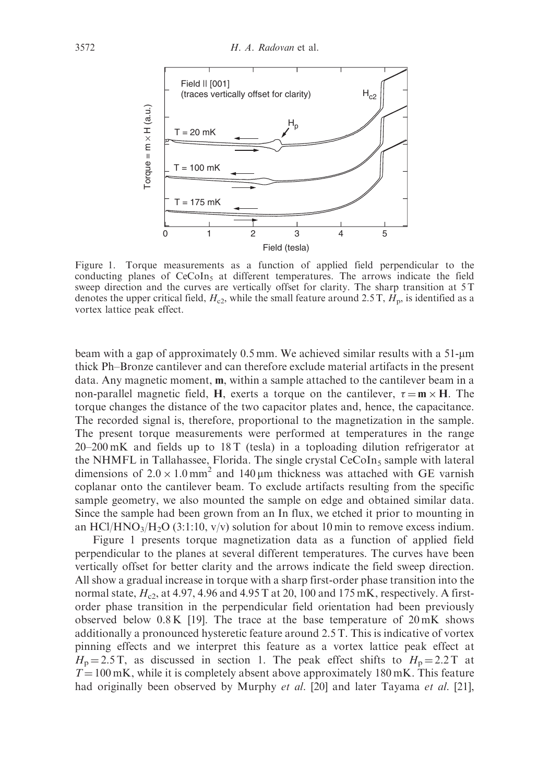

Figure 1. Torque measurements as a function of applied field perpendicular to the conducting planes of  $CeCoIn<sub>5</sub>$  at different temperatures. The arrows indicate the field sweep direction and the curves are vertically offset for clarity. The sharp transition at 5 T denotes the upper critical field,  $H_{c2}$ , while the small feature around 2.5 T,  $H_p$ , is identified as a vortex lattice peak effect.

beam with a gap of approximately 0.5 mm. We achieved similar results with a 51-um thick Ph–Bronze cantilever and can therefore exclude material artifacts in the present data. Any magnetic moment, m, within a sample attached to the cantilever beam in a non-parallel magnetic field, H, exerts a torque on the cantilever,  $\tau = m \times H$ . The torque changes the distance of the two capacitor plates and, hence, the capacitance. The recorded signal is, therefore, proportional to the magnetization in the sample. The present torque measurements were performed at temperatures in the range 20–200 mK and fields up to 18 T (tesla) in a toploading dilution refrigerator at the NHMFL in Tallahassee, Florida. The single crystal CeCoIn<sub>5</sub> sample with lateral dimensions of  $2.0 \times 1.0$  mm<sup>2</sup> and 140  $\mu$ m thickness was attached with GE varnish coplanar onto the cantilever beam. To exclude artifacts resulting from the specific sample geometry, we also mounted the sample on edge and obtained similar data. Since the sample had been grown from an In flux, we etched it prior to mounting in an HCl/HNO<sub>3</sub>/H<sub>2</sub>O (3:1:10, v/v) solution for about 10 min to remove excess indium. Here  $\frac{3}{2}$  T= 20 mK<br>
Figure 1. Torque measurements as a function of peptid field peperadicular to the<br>conducting planes of CeColns at different temperatures. The arrows indicate the field<br>cleanest percent of the cur

Figure 1 presents torque magnetization data as a function of applied field perpendicular to the planes at several different temperatures. The curves have been vertically offset for better clarity and the arrows indicate the field sweep direction. All show a gradual increase in torque with a sharp first-order phase transition into the normal state,  $H<sub>c2</sub>$ , at 4.97, 4.96 and 4.95 T at 20, 100 and 175 mK, respectively. A firstorder phase transition in the perpendicular field orientation had been previously observed below  $0.8 \text{ K}$  [19]. The trace at the base temperature of  $20 \text{ mK}$  shows additionally a pronounced hysteretic feature around 2.5 T. This is indicative of vortex pinning effects and we interpret this feature as a vortex lattice peak effect at  $H_p = 2.5$  T, as discussed in section 1. The peak effect shifts to  $H_p = 2.2$  T at  $T = 100$  mK, while it is completely absent above approximately 180 mK. This feature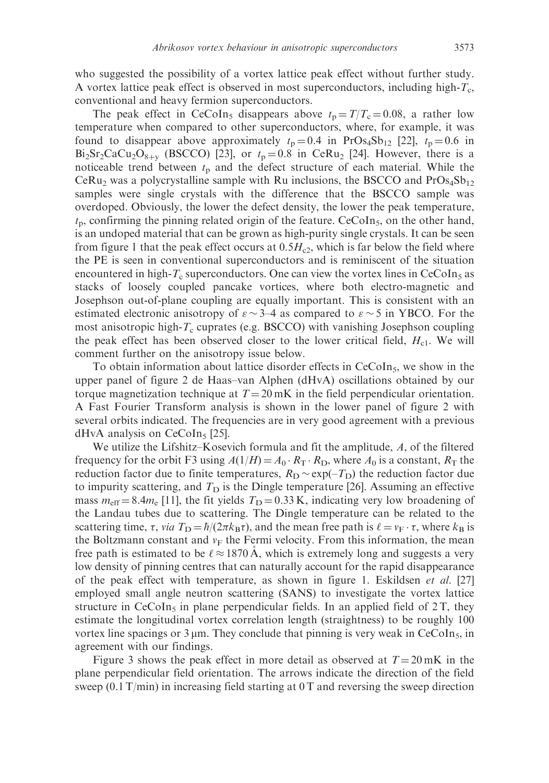who suggested the possibility of a vortex lattice peak effect without further study. A vortex lattice peak effect is observed in most superconductors, including high- $T_c$ , conventional and heavy fermion superconductors.

The peak effect in CeCoIn<sub>5</sub> disappears above  $t_p = T/T_c = 0.08$ , a rather low temperature when compared to other superconductors, where, for example, it was found to disappear above approximately  $t_p = 0.4$  in PrOs<sub>4</sub>Sb<sub>12</sub> [22],  $t_p = 0.6$  in  $Bi<sub>2</sub>Sr<sub>2</sub>CaCu<sub>2</sub>O<sub>8+v</sub>$  (BSCCO) [23], or  $t<sub>p</sub>=0.8$  in CeRu<sub>2</sub> [24]. However, there is a noticeable trend between  $t_p$  and the defect structure of each material. While the  $Ceru<sub>2</sub>$  was a polycrystalline sample with Ru inclusions, the BSCCO and  $Pros<sub>4</sub>Sb<sub>12</sub>$ samples were single crystals with the difference that the BSCCO sample was overdoped. Obviously, the lower the defect density, the lower the peak temperature,  $t<sub>p</sub>$ , confirming the pinning related origin of the feature. CeCoIn<sub>5</sub>, on the other hand, is an undoped material that can be grown as high-purity single crystals. It can be seen from figure 1 that the peak effect occurs at  $0.5H<sub>c2</sub>$ , which is far below the field where the PE is seen in conventional superconductors and is reminiscent of the situation encountered in high- $T_c$  superconductors. One can view the vortex lines in CeCoIn<sub>5</sub> as stacks of loosely coupled pancake vortices, where both electro-magnetic and Josephson out-of-plane coupling are equally important. This is consistent with an estimated electronic anisotropy of  $\varepsilon \sim 3-4$  as compared to  $\varepsilon \sim 5$  in YBCO. For the most anisotropic high- $T_c$  cuprates (e.g. BSCCO) with vanishing Josephson coupling the peak effect has been observed closer to the lower critical field,  $H<sub>c1</sub>$ . We will comment further on the anisotropy issue below.

To obtain information about lattice disorder effects in  $CeCoIn<sub>5</sub>$ , we show in the upper panel of figure 2 de Haas–van Alphen (dHvA) oscillations obtained by our torque magnetization technique at  $T = 20 \text{ mK}$  in the field perpendicular orientation. A Fast Fourier Transform analysis is shown in the lower panel of figure 2 with several orbits indicated. The frequencies are in very good agreement with a previous  $dHvA$  analysis on CeCoIn<sub>5</sub> [25].

We utilize the Lifshitz–Kosevich formula and fit the amplitude, A, of the filtered frequency for the orbit F3 using  $A(1/H) = A_0 \cdot R_T \cdot R_D$ , where  $A_0$  is a constant,  $R_T$  the reduction factor due to finite temperatures,  $R_D \sim \exp(-T_D)$  the reduction factor due to impurity scattering, and  $T<sub>D</sub>$  is the Dingle temperature [26]. Assuming an effective mass  $m_{\text{eff}} = 8.4 m_{\text{e}}$  [11], the fit yields  $T_{\text{D}} = 0.33 \text{ K}$ , indicating very low broadening of the Landau tubes due to scattering. The Dingle temperature can be related to the scattering time,  $\tau$ , *via*  $T_D = \hbar/(2\pi k_B \tau)$ , and the mean free path is  $\ell = v_F \cdot \tau$ , where  $k_B$  is the Boltzmann constant and  $v_F$  the Fermi velocity. From this information, the mean free path is estimated to be  $\ell \approx 1870$  A, which is extremely long and suggests a very low density of pinning centres that can naturally account for the rapid disappearance of the peak effect with temperature, as shown in figure 1. Eskildsen et al. [27] employed small angle neutron scattering (SANS) to investigate the vortex lattice structure in  $CeCoIn<sub>5</sub>$  in plane perpendicular fields. In an applied field of 2T, they estimate the longitudinal vortex correlation length (straightness) to be roughly 100 vortex line spacings or  $3 \mu m$ . They conclude that pinning is very weak in CeCoIn<sub>5</sub>, in agreement with our findings.

Figure 3 shows the peak effect in more detail as observed at  $T = 20 \text{ mK}$  in the plane perpendicular field orientation. The arrows indicate the direction of the field sweep (0.1 T/min) in increasing field starting at 0 T and reversing the sweep direction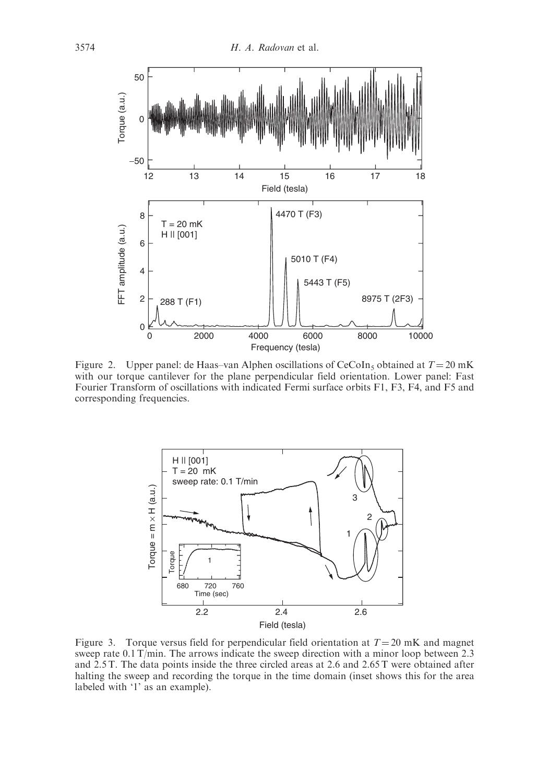

Figure 2. Upper panel: de Haas–van Alphen oscillations of CeCoIn<sub>5</sub> obtained at  $T = 20$  mK with our torque cantilever for the plane perpendicular field orientation. Lower panel: Fast Fourier Transform of oscillations with indicated Fermi surface orbits F1, F3, F4, and F5 and corresponding frequencies.



Figure 3. Torque versus field for perpendicular field orientation at  $T = 20$  mK and magnet sweep rate 0.1 T/min. The arrows indicate the sweep direction with a minor loop between 2.3 and 2.5 T. The data points inside the three circled areas at 2.6 and 2.65 T were obtained after halting the sweep and recording the torque in the time domain (inset shows this for the area labeled with '1' as an example).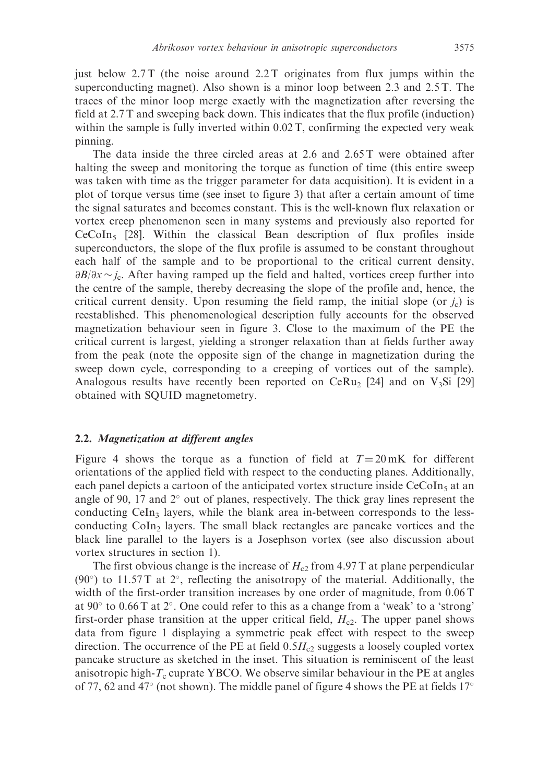just below  $2.7$  T (the noise around  $2.2$  T originates from flux jumps within the superconducting magnet). Also shown is a minor loop between 2.3 and 2.5 T. The traces of the minor loop merge exactly with the magnetization after reversing the field at 2.7 T and sweeping back down. This indicates that the flux profile (induction) within the sample is fully inverted within 0.02 T, confirming the expected very weak pinning.

The data inside the three circled areas at 2.6 and 2.65 T were obtained after halting the sweep and monitoring the torque as function of time (this entire sweep was taken with time as the trigger parameter for data acquisition). It is evident in a plot of torque versus time (see inset to figure 3) that after a certain amount of time the signal saturates and becomes constant. This is the well-known flux relaxation or vortex creep phenomenon seen in many systems and previously also reported for  $CeCoIn<sub>5</sub>$  [28]. Within the classical Bean description of flux profiles inside superconductors, the slope of the flux profile is assumed to be constant throughout each half of the sample and to be proportional to the critical current density,  $\partial B/\partial x \sim j_c$ . After having ramped up the field and halted, vortices creep further into the centre of the sample, thereby decreasing the slope of the profile and, hence, the critical current density. Upon resuming the field ramp, the initial slope (or  $j_c$ ) is reestablished. This phenomenological description fully accounts for the observed magnetization behaviour seen in figure 3. Close to the maximum of the PE the critical current is largest, yielding a stronger relaxation than at fields further away from the peak (note the opposite sign of the change in magnetization during the sweep down cycle, corresponding to a creeping of vortices out of the sample). Analogous results have recently been reported on  $CerRu_2$  [24] and on  $V_3Si$  [29] obtained with SQUID magnetometry.

#### 2.2. Magnetization at different angles

Figure 4 shows the torque as a function of field at  $T = 20 \text{ mK}$  for different orientations of the applied field with respect to the conducting planes. Additionally, each panel depicts a cartoon of the anticipated vortex structure inside  $CeCoIn<sub>5</sub>$  at an angle of 90, 17 and  $2^{\circ}$  out of planes, respectively. The thick gray lines represent the conducting CeIn<sub>3</sub> layers, while the blank area in-between corresponds to the lessconducting  $Coln<sub>2</sub>$  layers. The small black rectangles are pancake vortices and the black line parallel to the layers is a Josephson vortex (see also discussion about vortex structures in section 1).

The first obvious change is the increase of  $H_{c2}$  from 4.97 T at plane perpendicular (90 $^{\circ}$ ) to 11.57 T at 2 $^{\circ}$ , reflecting the anisotropy of the material. Additionally, the width of the first-order transition increases by one order of magnitude, from 0.06 T at 90 $\degree$  to 0.66 T at 2 $\degree$ . One could refer to this as a change from a 'weak' to a 'strong' first-order phase transition at the upper critical field,  $H_{c2}$ . The upper panel shows data from figure 1 displaying a symmetric peak effect with respect to the sweep direction. The occurrence of the PE at field  $0.5H<sub>c2</sub>$  suggests a loosely coupled vortex pancake structure as sketched in the inset. This situation is reminiscent of the least anisotropic high- $T_c$  cuprate YBCO. We observe similar behaviour in the PE at angles of 77, 62 and 47 $\degree$  (not shown). The middle panel of figure 4 shows the PE at fields 17 $\degree$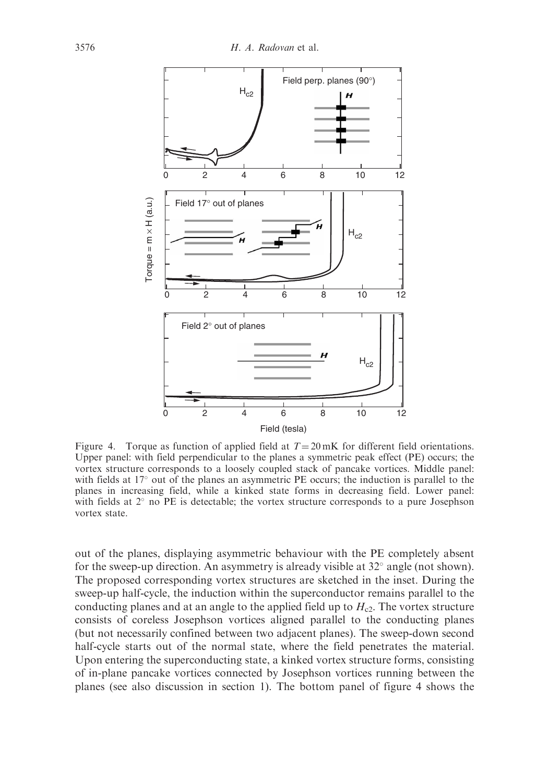

Figure 4. Torque as function of applied field at  $T = 20$  mK for different field orientations. Upper panel: with field perpendicular to the planes a symmetric peak effect (PE) occurs; the vortex structure corresponds to a loosely coupled stack of pancake vortices. Middle panel: with fields at  $17^{\circ}$  out of the planes an asymmetric PE occurs; the induction is parallel to the planes in increasing field, while a kinked state forms in decreasing field. Lower panel: with fields at  $2^{\circ}$  no PE is detectable; the vortex structure corresponds to a pure Josephson vortex state.

out of the planes, displaying asymmetric behaviour with the PE completely absent for the sweep-up direction. An asymmetry is already visible at  $32^{\circ}$  angle (not shown). The proposed corresponding vortex structures are sketched in the inset. During the sweep-up half-cycle, the induction within the superconductor remains parallel to the conducting planes and at an angle to the applied field up to  $H_{c2}$ . The vortex structure consists of coreless Josephson vortices aligned parallel to the conducting planes (but not necessarily confined between two adjacent planes). The sweep-down second half-cycle starts out of the normal state, where the field penetrates the material. Upon entering the superconducting state, a kinked vortex structure forms, consisting of in-plane pancake vortices connected by Josephson vortices running between the planes (see also discussion in section 1). The bottom panel of figure 4 shows the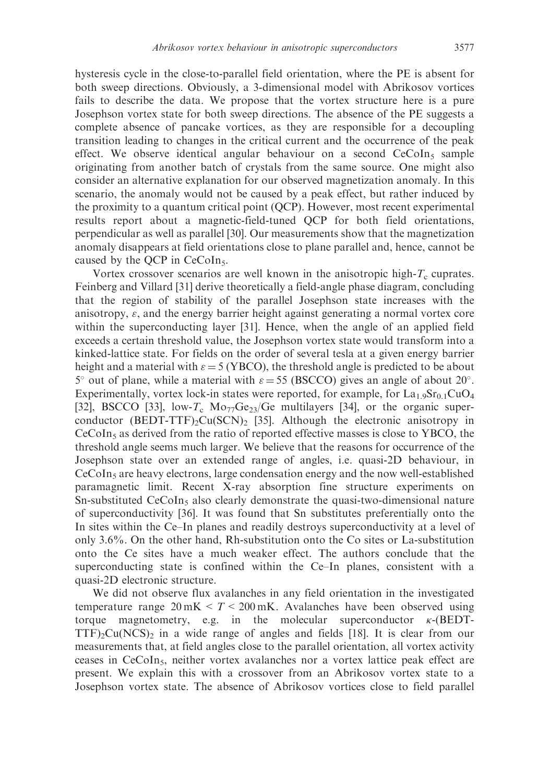hysteresis cycle in the close-to-parallel field orientation, where the PE is absent for both sweep directions. Obviously, a 3-dimensional model with Abrikosov vortices fails to describe the data. We propose that the vortex structure here is a pure Josephson vortex state for both sweep directions. The absence of the PE suggests a complete absence of pancake vortices, as they are responsible for a decoupling transition leading to changes in the critical current and the occurrence of the peak effect. We observe identical angular behaviour on a second  $CeCoIn<sub>5</sub>$  sample originating from another batch of crystals from the same source. One might also consider an alternative explanation for our observed magnetization anomaly. In this scenario, the anomaly would not be caused by a peak effect, but rather induced by

the proximity to a quantum critical point (QCP). However, most recent experimental results report about a magnetic-field-tuned QCP for both field orientations, perpendicular as well as parallel [30]. Our measurements show that the magnetization anomaly disappears at field orientations close to plane parallel and, hence, cannot be caused by the QCP in  $CeCoIn<sub>5</sub>$ .

Vortex crossover scenarios are well known in the anisotropic high- $T_c$  cuprates. Feinberg and Villard [31] derive theoretically a field-angle phase diagram, concluding that the region of stability of the parallel Josephson state increases with the anisotropy,  $\varepsilon$ , and the energy barrier height against generating a normal vortex core within the superconducting layer [31]. Hence, when the angle of an applied field exceeds a certain threshold value, the Josephson vortex state would transform into a kinked-lattice state. For fields on the order of several tesla at a given energy barrier height and a material with  $\varepsilon = 5$  (YBCO), the threshold angle is predicted to be about  $5^{\circ}$  out of plane, while a material with  $\varepsilon = 55$  (BSCCO) gives an angle of about 20°. Experimentally, vortex lock-in states were reported, for example, for  $La<sub>1.9</sub>Sr<sub>0.1</sub>CuO<sub>4</sub>$ [32], BSCCO [33], low-T<sub>c</sub> Mo<sub>77</sub>Ge<sub>23</sub>/Ge multilayers [34], or the organic superconductor  $(BEDT-TTF)_{2}Cu(SCN)_{2}$  [35]. Although the electronic anisotropy in  $CeCoIn<sub>5</sub>$  as derived from the ratio of reported effective masses is close to YBCO, the threshold angle seems much larger. We believe that the reasons for occurrence of the Josephson state over an extended range of angles, i.e. quasi-2D behaviour, in  $CeCoIn<sub>5</sub>$  are heavy electrons, large condensation energy and the now well-established paramagnetic limit. Recent X-ray absorption fine structure experiments on Sn-substituted  $CeCoIn<sub>5</sub>$  also clearly demonstrate the quasi-two-dimensional nature of superconductivity [36]. It was found that Sn substitutes preferentially onto the In sites within the Ce–In planes and readily destroys superconductivity at a level of only 3.6%. On the other hand, Rh-substitution onto the Co sites or La-substitution onto the Ce sites have a much weaker effect. The authors conclude that the superconducting state is confined within the Ce–In planes, consistent with a quasi-2D electronic structure.

We did not observe flux avalanches in any field orientation in the investigated temperature range  $20 \text{ mK} < T < 200 \text{ mK}$ . Avalanches have been observed using torque magnetometry, e.g. in the molecular superconductor  $\kappa$ -(BEDT- $TTF)$ <sub>2</sub>Cu(NCS)<sub>2</sub> in a wide range of angles and fields [18]. It is clear from our measurements that, at field angles close to the parallel orientation, all vortex activity ceases in CeCoIn5, neither vortex avalanches nor a vortex lattice peak effect are present. We explain this with a crossover from an Abrikosov vortex state to a Josephson vortex state. The absence of Abrikosov vortices close to field parallel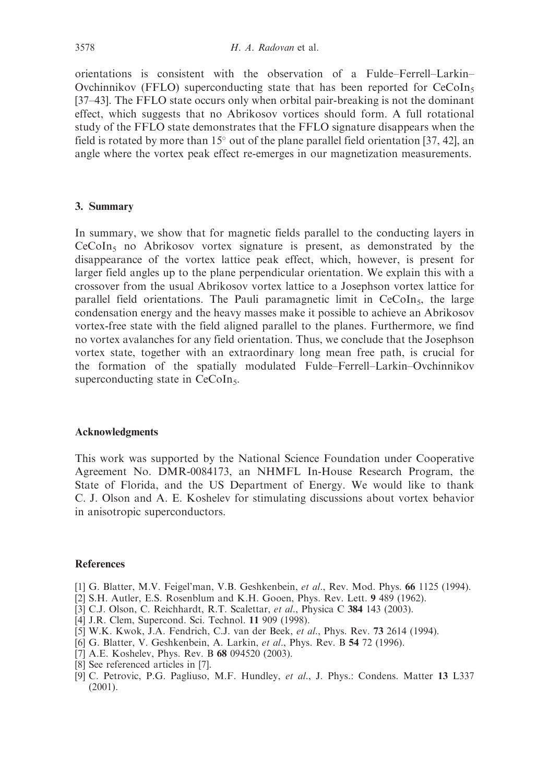orientations is consistent with the observation of a Fulde–Ferrell–Larkin– Ovchinnikov (FFLO) superconducting state that has been reported for  $CeCoIn<sub>5</sub>$ [37–43]. The FFLO state occurs only when orbital pair-breaking is not the dominant effect, which suggests that no Abrikosov vortices should form. A full rotational study of the FFLO state demonstrates that the FFLO signature disappears when the field is rotated by more than  $15^{\circ}$  out of the plane parallel field orientation [37, 42], an angle where the vortex peak effect re-emerges in our magnetization measurements.

#### 3. Summary

In summary, we show that for magnetic fields parallel to the conducting layers in  $CeCoIn<sub>5</sub>$  no Abrikosov vortex signature is present, as demonstrated by the disappearance of the vortex lattice peak effect, which, however, is present for larger field angles up to the plane perpendicular orientation. We explain this with a crossover from the usual Abrikosov vortex lattice to a Josephson vortex lattice for parallel field orientations. The Pauli paramagnetic limit in  $CeCoIn<sub>5</sub>$ , the large condensation energy and the heavy masses make it possible to achieve an Abrikosov vortex-free state with the field aligned parallel to the planes. Furthermore, we find no vortex avalanches for any field orientation. Thus, we conclude that the Josephson vortex state, together with an extraordinary long mean free path, is crucial for the formation of the spatially modulated Fulde–Ferrell–Larkin–Ovchinnikov superconducting state in CeCoIn<sub>5</sub>.

#### Acknowledgments

This work was supported by the National Science Foundation under Cooperative Agreement No. DMR-0084173, an NHMFL In-House Research Program, the State of Florida, and the US Department of Energy. We would like to thank C. J. Olson and A. E. Koshelev for stimulating discussions about vortex behavior in anisotropic superconductors.

#### References

- [1] G. Blatter, M.V. Feigel'man, V.B. Geshkenbein, et al., Rev. Mod. Phys. 66 1125 (1994).
- [2] S.H. Autler, E.S. Rosenblum and K.H. Gooen, Phys. Rev. Lett. 9 489 (1962).
- [3] C.J. Olson, C. Reichhardt, R.T. Scalettar, et al., Physica C 384 143 (2003).
- [4] J.R. Clem, Supercond. Sci. Technol. 11 909 (1998).
- [5] W.K. Kwok, J.A. Fendrich, C.J. van der Beek, et al., Phys. Rev. 73 2614 (1994).
- [6] G. Blatter, V. Geshkenbein, A. Larkin, et al., Phys. Rev. B 54 72 (1996).
- [7] A.E. Koshelev, Phys. Rev. B 68 094520 (2003).
- [8] See referenced articles in [7].
- [9] C. Petrovic, P.G. Pagliuso, M.F. Hundley, et al., J. Phys.: Condens. Matter 13 L337 (2001).